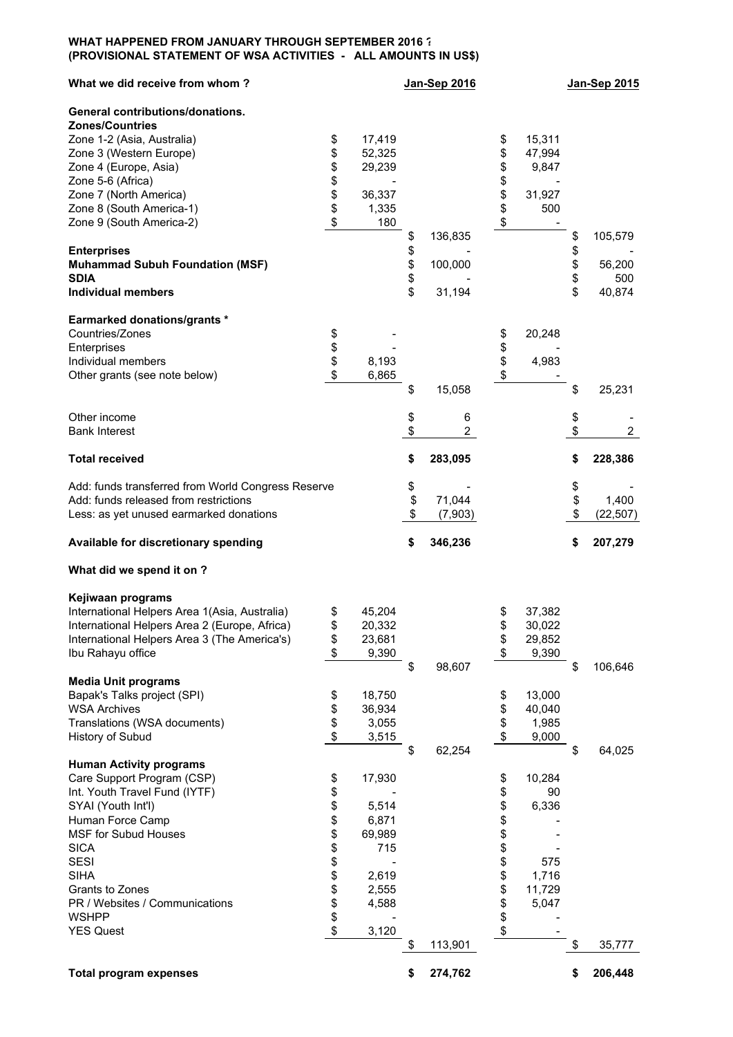## **WHAT HAPPENED FROM JANUARY THROUGH SEPTEMBER 2016 ? (PROVISIONAL STATEMENT OF WSA ACTIVITIES - ALL AMOUNTS IN US\$)**

| What we did receive from whom?                      |          |        | Jan-Sep 2016  |              | Jan-Sep 2015         |
|-----------------------------------------------------|----------|--------|---------------|--------------|----------------------|
| General contributions/donations.                    |          |        |               |              |                      |
| <b>Zones/Countries</b>                              |          |        |               |              |                      |
| Zone 1-2 (Asia, Australia)                          | \$       | 17,419 |               | \$<br>15,311 |                      |
| Zone 3 (Western Europe)                             | \$       | 52,325 |               | \$<br>47,994 |                      |
| Zone 4 (Europe, Asia)                               | \$       | 29,239 |               | \$<br>9,847  |                      |
| Zone 5-6 (Africa)                                   | \$       |        |               | \$           |                      |
| Zone 7 (North America)                              | \$       | 36,337 |               | \$<br>31,927 |                      |
| Zone 8 (South America-1)                            | \$       | 1,335  |               | \$<br>500    |                      |
| Zone 9 (South America-2)                            | \$       | 180    |               | \$           |                      |
|                                                     |          |        | \$<br>136,835 |              | \$<br>105,579        |
| <b>Enterprises</b>                                  |          |        | \$            |              | \$                   |
| <b>Muhammad Subuh Foundation (MSF)</b>              |          |        | \$<br>100,000 |              | \$<br>56,200         |
| <b>SDIA</b>                                         |          |        | \$            |              | \$<br>500            |
| <b>Individual members</b>                           |          |        | \$<br>31,194  |              | \$<br>40,874         |
| <b>Earmarked donations/grants *</b>                 |          |        |               |              |                      |
| Countries/Zones                                     | \$       |        |               | \$<br>20,248 |                      |
| Enterprises                                         | \$       |        |               | \$           |                      |
| Individual members                                  | \$       | 8,193  |               | \$<br>4,983  |                      |
| Other grants (see note below)                       | \$       | 6,865  |               | \$           |                      |
|                                                     |          |        | \$<br>15,058  |              | \$<br>25,231         |
|                                                     |          |        |               |              |                      |
| Other income                                        |          |        | \$<br>6       |              | \$                   |
| <b>Bank Interest</b>                                |          |        | \$<br>2       |              | \$<br>$\overline{2}$ |
|                                                     |          |        |               |              |                      |
| <b>Total received</b>                               |          |        | \$<br>283,095 |              | \$<br>228,386        |
| Add: funds transferred from World Congress Reserve  |          |        | \$            |              | \$                   |
| Add: funds released from restrictions               |          |        | \$<br>71,044  |              | \$<br>1,400          |
| Less: as yet unused earmarked donations             |          |        | \$<br>(7,903) |              | \$<br>(22, 507)      |
|                                                     |          |        |               |              |                      |
| Available for discretionary spending                |          |        | \$<br>346,236 |              | \$<br>207,279        |
| What did we spend it on ?                           |          |        |               |              |                      |
| Kejiwaan programs                                   |          |        |               |              |                      |
| International Helpers Area 1(Asia, Australia)       |          | 45,204 |               | 37,382       |                      |
|                                                     | \$       | 20,332 |               | \$<br>30,022 |                      |
| International Helpers Area 2 (Europe, Africa)       |          |        |               |              |                      |
| International Helpers Area 3 (The America's)        | \$       | 23,681 |               | \$<br>29,852 |                      |
| Ibu Rahayu office                                   | \$       | 9,390  |               | \$<br>9,390  |                      |
|                                                     |          |        | \$<br>98,607  |              | \$<br>106,646        |
| <b>Media Unit programs</b>                          |          |        |               |              |                      |
| Bapak's Talks project (SPI)                         | \$       | 18,750 |               | \$<br>13,000 |                      |
| <b>WSA Archives</b>                                 | \$       | 36,934 |               | \$<br>40,040 |                      |
| Translations (WSA documents)                        | \$       | 3,055  |               | \$<br>1,985  |                      |
| History of Subud                                    | \$       | 3,515  |               | \$<br>9,000  |                      |
| <b>Human Activity programs</b>                      |          |        | \$<br>62,254  |              | \$<br>64,025         |
| Care Support Program (CSP)                          |          | 17,930 |               | 10,284       |                      |
|                                                     | \$       |        |               | \$           |                      |
| Int. Youth Travel Fund (IYTF)<br>SYAI (Youth Int'l) | \$<br>\$ |        |               | \$<br>90     |                      |
|                                                     |          | 5,514  |               | \$<br>6,336  |                      |
| Human Force Camp                                    | \$       | 6,871  |               | \$           |                      |
| <b>MSF for Subud Houses</b>                         | \$       | 69,989 |               | \$           |                      |
| <b>SICA</b>                                         | \$       | 715    |               | \$           |                      |
| <b>SESI</b>                                         | \$       |        |               | \$<br>575    |                      |
| <b>SIHA</b>                                         | \$       | 2,619  |               | \$<br>1,716  |                      |
| Grants to Zones                                     | \$       | 2,555  |               | \$<br>11,729 |                      |
| PR / Websites / Communications                      | \$       | 4,588  |               | \$<br>5,047  |                      |
| <b>WSHPP</b>                                        | \$       |        |               | \$           |                      |
| <b>YES Quest</b>                                    | \$       | 3,120  |               | \$           |                      |
|                                                     |          |        | \$<br>113,901 |              | \$<br>35,777         |
| <b>Total program expenses</b>                       |          |        | \$<br>274,762 |              | \$<br>206,448        |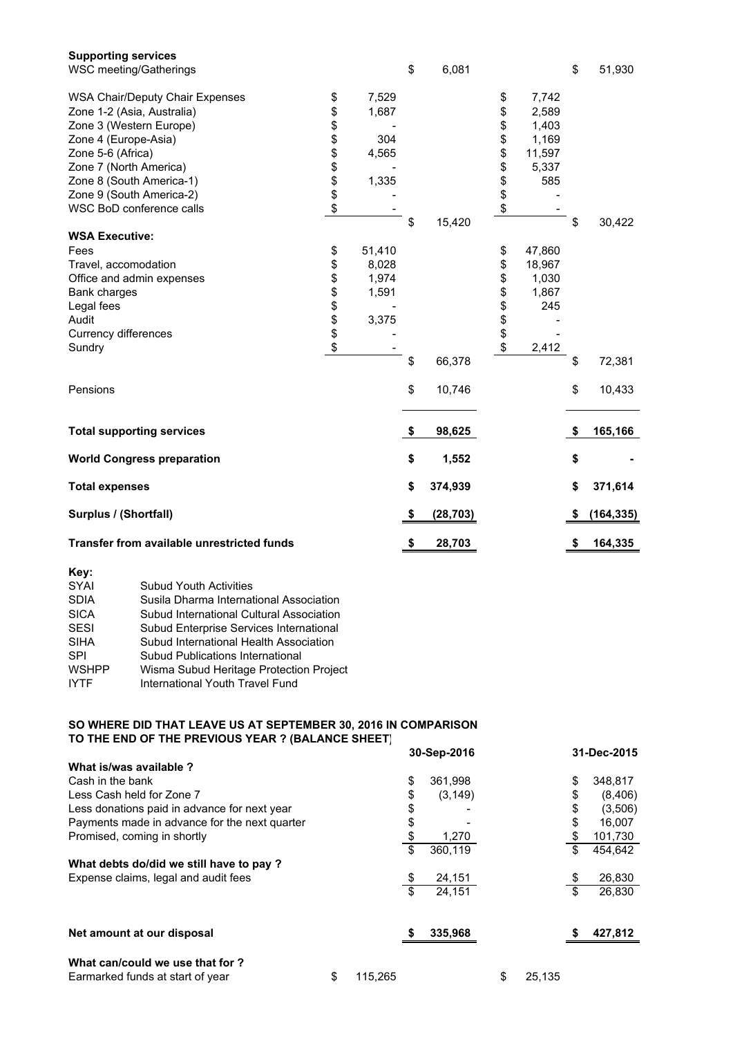| <b>Supporting services</b><br>WSC meeting/Gatherings |                |        | \$<br>6,081     |          |        | \$<br>51,930  |
|------------------------------------------------------|----------------|--------|-----------------|----------|--------|---------------|
| <b>WSA Chair/Deputy Chair Expenses</b>               | \$             | 7,529  |                 | \$       | 7,742  |               |
| Zone 1-2 (Asia, Australia)                           | \$             | 1,687  |                 | \$       | 2,589  |               |
| Zone 3 (Western Europe)                              | \$             |        |                 | \$       | 1,403  |               |
| Zone 4 (Europe-Asia)                                 |                | 304    |                 | \$       | 1,169  |               |
| Zone 5-6 (Africa)                                    | \$\$\$\$\$\$   | 4,565  |                 | \$       | 11,597 |               |
| Zone 7 (North America)                               |                |        |                 | \$       | 5,337  |               |
| Zone 8 (South America-1)                             |                | 1,335  |                 | \$       | 585    |               |
| Zone 9 (South America-2)                             |                |        |                 | \$<br>\$ |        |               |
| WSC BoD conference calls                             |                |        |                 |          |        |               |
|                                                      |                |        | \$<br>15,420    |          |        | \$<br>30,422  |
| <b>WSA Executive:</b>                                |                |        |                 |          |        |               |
| Fees                                                 | \$             | 51,410 |                 | \$       | 47,860 |               |
| Travel, accomodation                                 |                | 8,028  |                 | \$       | 18,967 |               |
| Office and admin expenses                            |                | 1,974  |                 | \$       | 1,030  |               |
| Bank charges                                         | <b>8888888</b> | 1,591  |                 | \$       | 1,867  |               |
| Legal fees                                           |                |        |                 | \$       | 245    |               |
| Audit                                                |                | 3,375  |                 | \$       |        |               |
| <b>Currency differences</b>                          |                |        |                 |          |        |               |
| Sundry                                               |                |        |                 | \$       | 2,412  |               |
|                                                      |                |        | \$<br>66,378    |          |        | \$<br>72,381  |
| Pensions                                             |                |        | \$<br>10,746    |          |        | \$<br>10,433  |
| <b>Total supporting services</b>                     |                |        | \$<br>98,625    |          |        | \$<br>165,166 |
| <b>World Congress preparation</b>                    |                |        | \$<br>1,552     |          |        | \$            |
| <b>Total expenses</b>                                |                |        | \$<br>374,939   |          |        | \$<br>371,614 |
| Surplus / (Shortfall)                                |                |        | \$<br>(28, 703) |          |        | (164, 335)    |
| <b>Transfer from available unrestricted funds</b>    |                |        | \$<br>28,703    |          |        | \$<br>164,335 |

| Key:         |                                          |
|--------------|------------------------------------------|
| <b>SYAI</b>  | <b>Subud Youth Activities</b>            |
| <b>SDIA</b>  | Susila Dharma International Association  |
| <b>SICA</b>  | Subud International Cultural Association |
| <b>SESI</b>  | Subud Enterprise Services International  |
| <b>SIHA</b>  | Subud International Health Association   |
| SPI          | Subud Publications International         |
| <b>WSHPP</b> | Wisma Subud Heritage Protection Project  |
| <b>IYTF</b>  | International Youth Travel Fund          |
|              |                                          |

## **SO WHERE DID THAT LEAVE US AT SEPTEMBER 30, 2016 IN COMPARISON TO THE END OF THE PREVIOUS YEAR ? (BALANCE SHEET) 30-Sep-2016 31-Dec-2015**

|                                               |               | $00 - 000 - 2010$ |              | <u>JI-DUU-LU IJ</u> |
|-----------------------------------------------|---------------|-------------------|--------------|---------------------|
| What is/was available?                        |               |                   |              |                     |
| Cash in the bank                              |               | \$<br>361,998     |              | \$<br>348,817       |
| Less Cash held for Zone 7                     |               | \$<br>(3, 149)    |              | \$<br>(8,406)       |
| Less donations paid in advance for next year  |               | \$                |              | \$<br>(3,506)       |
| Payments made in advance for the next quarter |               | \$                |              | \$<br>16,007        |
| Promised, coming in shortly                   |               | \$<br>1,270       |              | \$<br>101,730       |
|                                               |               | \$<br>360,119     |              | \$<br>454.642       |
| What debts do/did we still have to pay ?      |               |                   |              |                     |
| Expense claims, legal and audit fees          |               | 24,151            |              | 26,830              |
|                                               |               | \$<br>24.151      |              | \$<br>26,830        |
| Net amount at our disposal                    |               | 335,968           |              | 427,812             |
|                                               |               |                   |              |                     |
| What can/could we use that for ?              |               |                   |              |                     |
| Earmarked funds at start of year              | \$<br>115,265 |                   | \$<br>25,135 |                     |